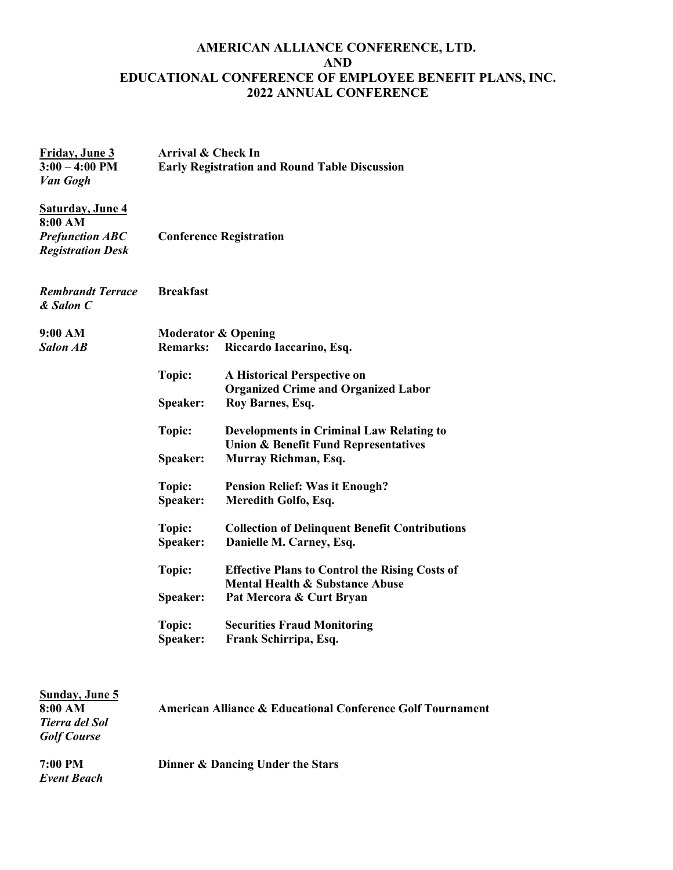## **AMERICAN ALLIANCE CONFERENCE, LTD. AND EDUCATIONAL CONFERENCE OF EMPLOYEE BENEFIT PLANS, INC. 2022 ANNUAL CONFERENCE**

| Friday, June 3<br>$3:00 - 4:00$ PM<br>Van Gogh                                           | Arrival & Check In<br><b>Early Registration and Round Table Discussion</b><br><b>Conference Registration</b> |                                                                                                    |
|------------------------------------------------------------------------------------------|--------------------------------------------------------------------------------------------------------------|----------------------------------------------------------------------------------------------------|
| <b>Saturday, June 4</b><br>8:00 AM<br><b>Prefunction ABC</b><br><b>Registration Desk</b> |                                                                                                              |                                                                                                    |
| <b>Rembrandt Terrace</b><br>& Salon C                                                    | <b>Breakfast</b>                                                                                             |                                                                                                    |
| 9:00 AM                                                                                  |                                                                                                              | <b>Moderator &amp; Opening</b>                                                                     |
| <b>Salon AB</b>                                                                          | <b>Remarks:</b>                                                                                              | Riccardo Iaccarino, Esq.                                                                           |
|                                                                                          | Topic:                                                                                                       | <b>A Historical Perspective on</b><br><b>Organized Crime and Organized Labor</b>                   |
|                                                                                          | Speaker:                                                                                                     | Roy Barnes, Esq.                                                                                   |
|                                                                                          | Topic:                                                                                                       | <b>Developments in Criminal Law Relating to</b><br><b>Union &amp; Benefit Fund Representatives</b> |
|                                                                                          | Speaker:                                                                                                     | Murray Richman, Esq.                                                                               |
|                                                                                          | Topic:                                                                                                       | <b>Pension Relief: Was it Enough?</b>                                                              |
|                                                                                          | Speaker:                                                                                                     | Meredith Golfo, Esq.                                                                               |
|                                                                                          | Topic:<br>Speaker:                                                                                           | <b>Collection of Delinquent Benefit Contributions</b><br>Danielle M. Carney, Esq.                  |
|                                                                                          | Topic:                                                                                                       | <b>Effective Plans to Control the Rising Costs of</b><br>Mental Health & Substance Abuse           |
|                                                                                          | <b>Speaker:</b>                                                                                              | Pat Mercora & Curt Bryan                                                                           |
|                                                                                          | Topic:                                                                                                       | <b>Securities Fraud Monitoring</b>                                                                 |
|                                                                                          | <b>Speaker:</b>                                                                                              | Frank Schirripa, Esq.                                                                              |
| <b>Sunday, June 5</b><br>8:00 AM<br><b>Tierra del Sol</b><br><b>Golf Course</b>          | <b>American Alliance &amp; Educational Conference Golf Tournament</b>                                        |                                                                                                    |

**7:00 PM Dinner & Dancing Under the Stars** *Event Beach*